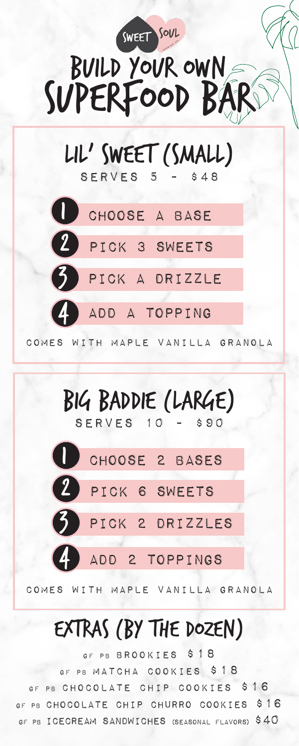



comes with maple vanilla granola

# Extras (by the dozen)

GF PB BROOKIES \$18 GF PB MATCHA COOKIES \$18 GF PB CHOCOLATE CHIP COOKIES \$16 GF PB chocolate chip churro Cookies \$16 GF PB ICECREAM SANDWICHES (SEASONAL FLAVORS) \$40